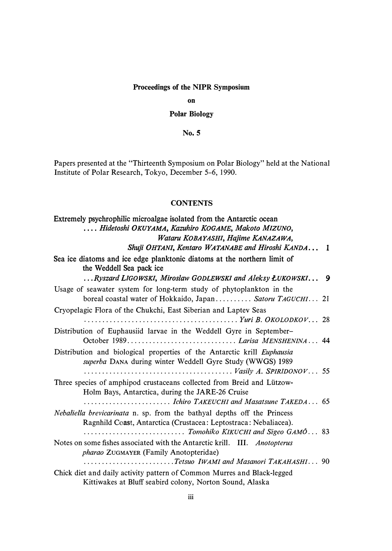## **Proceedings of the NIPR Symposium**

**on** 

## **Polar Biology**

**No. 5** 

Papers presented at the "Thirteenth Symposium on Polar Biology" held at the National Institute of Polar Research, Tokyo, December 5-6, 1990.

## **CONTENTS**

| Extremely psychrophilic microalgae isolated from the Antarctic ocean                                                                         |  |
|----------------------------------------------------------------------------------------------------------------------------------------------|--|
| Hidetoshi OKUYAMA, Kazuhiro KOGAME, Makoto MIZUNO,                                                                                           |  |
| Wataru KOBAYASHI, Hajime KANAZAWA,                                                                                                           |  |
| Shuji OHTANI, Kentaro WATANABE and Hiroshi KANDA 1                                                                                           |  |
| Sea ice diatoms and ice edge planktonic diatoms at the northern limit of<br>the Weddell Sea pack ice                                         |  |
| Ryszard LIGOWSKI, Miroslaw GODLEWSKI and Aleksy ŁUKOWSKI 9                                                                                   |  |
| Usage of seawater system for long-term study of phytoplankton in the                                                                         |  |
| boreal coastal water of Hokkaido, Japan Satoru TAGUCHI 21                                                                                    |  |
| Cryopelagic Flora of the Chukchi, East Siberian and Laptev Seas                                                                              |  |
|                                                                                                                                              |  |
| Distribution of Euphausiid larvae in the Weddell Gyre in September-                                                                          |  |
|                                                                                                                                              |  |
| Distribution and biological properties of the Antarctic krill Euphausia<br>superba DANA during winter Weddell Gyre Study (WWGS) 1989         |  |
| $\ldots \ldots \ldots \ldots \ldots \ldots \ldots \ldots \ldots \ldots \ldots$ Vasily A. SPIRIDONOV 55                                       |  |
| Three species of amphipod crustaceans collected from Breid and Lützow-<br>Holm Bays, Antarctica, during the JARE-26 Cruise                   |  |
|                                                                                                                                              |  |
| Nebaliella brevicarinata n. sp. from the bathyal depths off the Princess<br>Ragnhild Coast, Antarctica (Crustacea: Leptostraca: Nebaliacea). |  |
| Tomohiko KIKUCHI and Sigeo GAMÔ 83                                                                                                           |  |
| Notes on some fishes associated with the Antarctic krill. III. Anotopterus<br>pharao ZUGMAYER (Family Anotopteridae)                         |  |
| Tetsuo IWAMI and Masanori TAKAHASHI 90                                                                                                       |  |
| Chick diet and daily activity pattern of Common Murres and Black-legged<br>Kittiwakes at Bluff seabird colony, Norton Sound, Alaska          |  |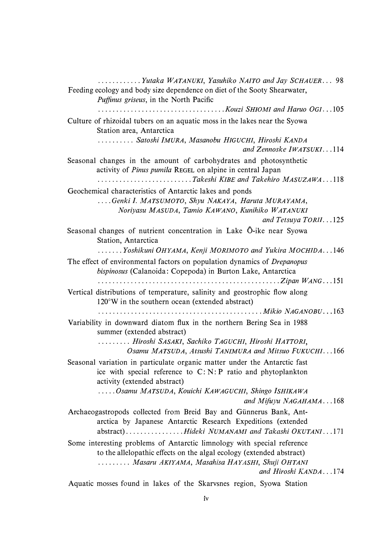*............ Yutaka WATANUKI, Yasuhiko NAITO and Jay SCHAUER ... 98 Feeding ecology and body size dependence on diet of the Sooty Shearwater, Puffinus griseus, in the North Pacific ................................... Kouzi SHIOMI and Haruo OGI .. . 105 Culture of rhizoidal tubers on an aquatic moss in the lakes near the Syowa Station area, Antarctica .......... Satoshi !MURA, Masanobu HIGUCHI, Hiroshi KANDA and Zennoske lWATSUKI ... 114 Seasonal changes in the amount of carbohydrates and photosynthetic activity of Pinus pumila* REGEL *on alpine in central Japan .......................... Takeshi KIBE and Takehiro M ASUZA WA ... 118 Geochemical characteristics of Antarctic lakes and ponds .... Genki I. MATSUMOTO, Shyu NAKAYA, Haruta MURAYAMA, Noriyasu MASUDA, Tamio KAWANO, Kunihiko WATANUKI and Tetsuya TORI/ .. . 125 Seasonal changes of nutrient concentration in Lake 0-ike near Syowa Station, Antarctica ....... Yoshikuni OHYAMA, Kenji MORIMOTO and Yukira MOCH/DA .. . 146*  The effect of environmental factors on population dynamics of *Drepanopus bispinosus (Calanoida: Copepoda) in Burton Lake, Antarctica .................................................. Zipan WANG ... 151 Vertical distributions of temperature, salinity and geostrophic flow along 120* °*W in the southern ocean (extended abstract) ............................................. Mikio NAGANOBU . . . 163 Variability in downward diatom flux in the northern Bering Sea in 1988 summer ( extended abstract) ......... Hiroshi SASAKI, Sachiko TAGUCHI, Hiroshi HATTORI, Osamu MATSUDA, Atsushi TAN/MURA and Mitsuo FUKUCHI ... 166 Seasonal variation in particulate organic matter under the Antarctic fast ice with special reference to C: N: P ratio and phytoplankton activity (extended abstract) ..... Osamu MATSUDA, Kouichi KAWAGUCHI, Shingo ISHIKAWA and Mifuyu NAGAHAMA ... 168*  Archaeogastropods collected from Breid Bay and Günnerus Bank, Ant*arctica by Japanese Antarctic Research Expeditions ( extended abstract) ............... . Hideki NUMANAMI and Takashi OKUTANI ... 171 Some interesting problems of Antarctic limnology with special reference to the allelopathic effects on the algal ecology (extended abstract) ......... Masaru AKIYAMA, Masahisa HAYASHI, Shuji OHTANI and Hiroshi KANDA ... 174 Aquatic mosses found in lakes of the Skarvsnes region, Syowa Station*